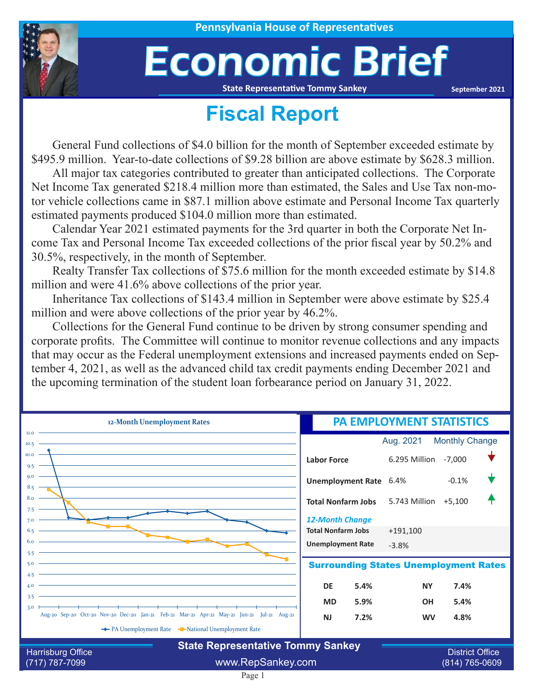

## Economic Brief

**State Representative Tommy Sankey**

**September 2021**

## **Fiscal Report**

General Fund collections of \$4.0 billion for the month of September exceeded estimate by \$495.9 million. Year-to-date collections of \$9.28 billion are above estimate by \$628.3 million.

All major tax categories contributed to greater than anticipated collections. The Corporate Net Income Tax generated \$218.4 million more than estimated, the Sales and Use Tax non-motor vehicle collections came in \$87.1 million above estimate and Personal Income Tax quarterly estimated payments produced \$104.0 million more than estimated.

Calendar Year 2021 estimated payments for the 3rd quarter in both the Corporate Net Income Tax and Personal Income Tax exceeded collections of the prior fiscal year by 50.2% and 30.5%, respectively, in the month of September.

Realty Transfer Tax collections of \$75.6 million for the month exceeded estimate by \$14.8 million and were 41.6% above collections of the prior year.

Inheritance Tax collections of \$143.4 million in September were above estimate by \$25.4 million and were above collections of the prior year by 46.2%.

Collections for the General Fund continue to be driven by strong consumer spending and corporate profits. The Committee will continue to monitor revenue collections and any impacts that may occur as the Federal unemployment extensions and increased payments ended on September 4, 2021, as well as the advanced child tax credit payments ending December 2021 and the upcoming termination of the student loan forbearance period on January 31, 2022.